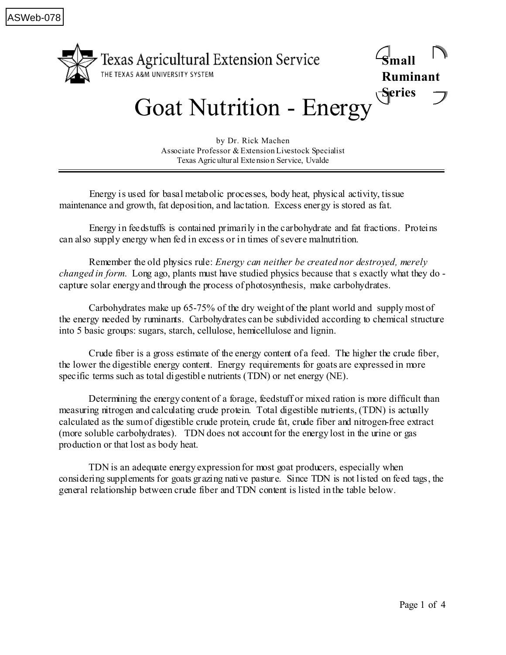

## Goat Nutrition - Energy

by Dr. Rick Machen Associate Professor & Extension Livestock Specialist Texas Agric ultur al Extensio n Service, Uvalde

Energy is used for basal metabolic processes, body heat, physical activity, tissue maintenance and growth, fat deposition, and lactation. Excess energy is stored as fat.

Energy in feedstuffs is contained primarily in the carbohydrate and fat fractions. Proteins can also supply energy when fed in excess or in times of severe malnutrition.

Remember the old physics rule: *Energy can neither be created nor destroyed, merely changed in form*. Long ago, plants must have studied physics because that s exactly what they do capture solar energy and through the process of photosynthesis, make carbohydrates.

Carbohydrates make up 65-75% of the dry weight of the plant world and supply most of the energy needed by ruminants. Carbohydrates can be subdivided according to chemical structure into 5 basic groups: sugars, starch, cellulose, hemicellulose and lignin.

Crude fiber is a gross estimate of the energy content of a feed. The higher the crude fiber, the lower the digestible energy content. Energy requirements for goats are expressed in more specific terms such as total digestible nutrients (TDN) or net energy (NE).

Determining the energy content of a forage, feedstuff or mixed ration is more difficult than measuring nitrogen and calculating crude protein. Total digestible nutrients, (TDN) is actually calculated as the sum of digestible crude protein, crude fat, crude fiber and nitrogen-free extract (more soluble carbohydrates). TDN does not account for the energy lost in the urine or gas production or that lost as body heat.

TDN is an adequate energy expression for most goat producers, especially when considering supplements for goats grazing native pasture. Since TDN is not listed on feed tags, the general relationship between crude fiber and TDN content is listed in the table below.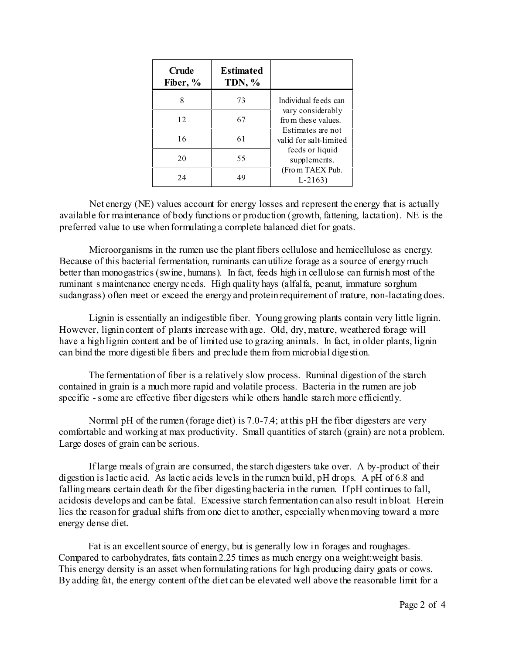| <b>Crude</b><br>Fiber, % | <b>Estimated</b><br><b>TDN, %</b> |                                                                                                                                                                                   |
|--------------------------|-----------------------------------|-----------------------------------------------------------------------------------------------------------------------------------------------------------------------------------|
| 8                        | 73                                | Individual fe eds can<br>vary considerably<br>from these values.<br>Estimates are not<br>valid for salt-limited<br>feeds or liquid<br>supplements.<br>(From TAEX Pub.<br>$L-2163$ |
| 12                       | 67                                |                                                                                                                                                                                   |
| 16                       | 61                                |                                                                                                                                                                                   |
| 20                       | 55                                |                                                                                                                                                                                   |
| 24                       | 49                                |                                                                                                                                                                                   |

Net energy (NE) values account for energy losses and represent the energy that is actually available for maintenance of body functions or production (growth, fattening, lactation). NE is the preferred value to use when formulating a complete balanced diet for goats.

Microorganisms in the rumen use the plant fibers cellulose and hemicellulose as energy. Because of this bacterial fermentation, ruminants can utilize forage as a source of energy much better than monogastrics (swine, humans). In fact, feeds high in cellulose can furnish most of the ruminant s maintenance energy needs. High quality hays (alfalfa, peanut, immature sorghum sudangrass) often meet or exceed the energy and protein requirement of mature, non-lactating does.

Lignin is essentially an indigestible fiber. Young growing plants contain very little lignin. However, lignin content of plants increase with age. Old, dry, mature, weathered forage will have a high lignin content and be of limited use to grazing animals. In fact, in older plants, lignin can bind the more digestible fibers and preclude them from microbial digestion.

The fermentation of fiber is a relatively slow process. Ruminal digestion of the starch contained in grain is a much more rapid and volatile process. Bacteria in the rumen are job specific - some are effective fiber digesters while others handle starch more efficiently.

Normal pH of the rumen (forage diet) is 7.0-7.4; at this pH the fiber digesters are very comfortable and working at max productivity. Small quantities of starch (grain) are not a problem. Large doses of grain can be serious.

If large meals of grain are consumed, the starch digesters take over. A by-product of their digestion is lactic acid. As lactic acids levels in the rumen build, pH drops. A pH of 6.8 and falling means certain death for the fiber digesting bacteria in the rumen. If pH continues to fall, acidosis develops and can be fatal. Excessive starch fermentation can also result in bloat. Herein lies the reason for gradual shifts from one diet to another, especially when moving toward a more energy dense diet.

Fat is an excellent source of energy, but is generally low in forages and roughages. Compared to carbohydrates, fats contain 2.25 times as much energy on a weight:weight basis. This energy density is an asset when formulating rations for high producing dairy goats or cows. By adding fat, the energy content of the diet can be elevated well above the reasonable limit for a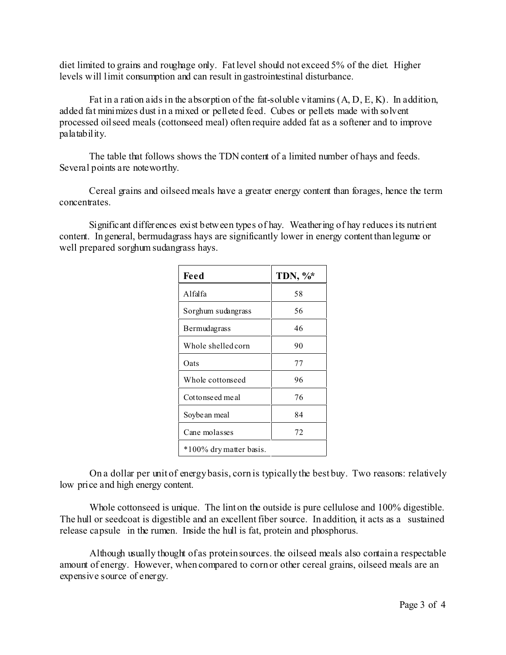diet limited to grains and roughage only. Fat level should not exceed 5% of the diet. Higher levels will limit consumption and can result in gastrointestinal disturbance.

Fat in a ration aids in the absorption of the fat-soluble vitamins  $(A, D, E, K)$ . In addition, added fat minimizes dust in a mixed or pelleted feed. Cubes or pellets made with solvent processed oilseed meals (cottonseed meal) often require added fat as a softener and to improve palatability.

The table that follows shows the TDN content of a limited number of hays and feeds. Several points are noteworthy.

Cereal grains and oilseed meals have a greater energy content than forages, hence the term concentrates.

Significant differences exist between types of hay. Weathering of hay reduces its nutrient content. In general, bermudagrass hays are significantly lower in energy content than legume or well prepared sorghum sudangrass hays.

| Feed                    | TDN, %* |  |  |
|-------------------------|---------|--|--|
| Alfalfa                 | 58      |  |  |
| Sorghum sudangrass      | 56      |  |  |
| Bermudagrass            | 46      |  |  |
| Whole shelled corn      | 90      |  |  |
| Oats                    | 77      |  |  |
| Whole cottonseed        | 96      |  |  |
| Cottonseed meal         | 76      |  |  |
| Soybe an meal           | 84      |  |  |
| Cane molasses           | 72      |  |  |
| *100% dry matter basis. |         |  |  |

On a dollar per unit of energy basis, corn is typically the best buy. Two reasons: relatively low price and high energy content.

Whole cottonseed is unique. The lint on the outside is pure cellulose and 100% digestible. The hull or seedcoat is digestible and an excellent fiber source. In addition, it acts as a sustained release capsule in the rumen. Inside the hull is fat, protein and phosphorus.

Although usually thought of as protein sources. the oilseed meals also contain a respectable amount of energy. However, when compared to corn or other cereal grains, oilseed meals are an expensive source of energy.